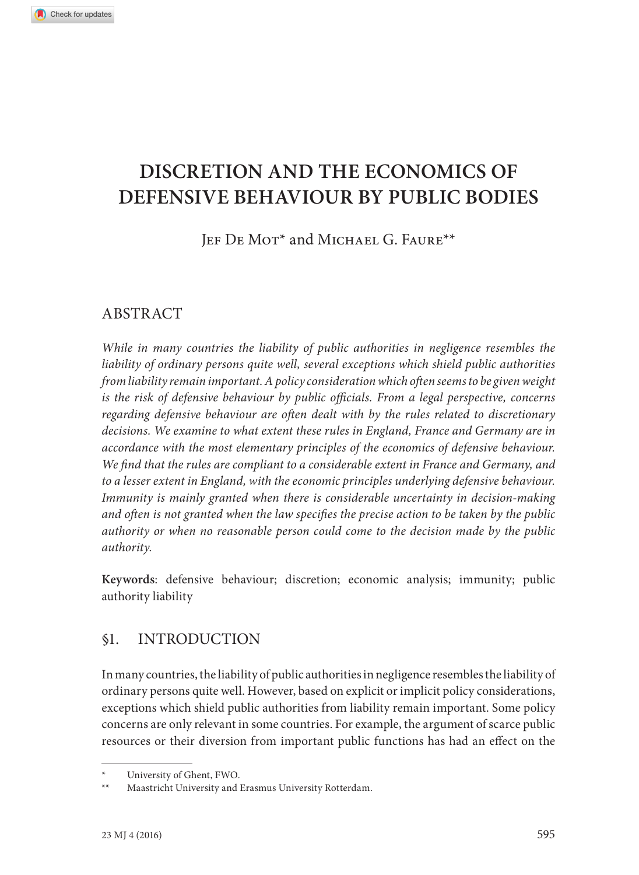# **DISCRETION AND THE ECONOMICS OF DEFENSIVE BEHAVIOUR BY PUBLIC BODIES**

Jef De Mot\* and Michael G. Faure\*\*

#### ABSTRACT

*While in many countries the liability of public authorities in negligence resembles the liability of ordinary persons quite well, several exceptions which shield public authorities from liability remain important. A policy consideration which often seems to be given weight is the risk of defensive behaviour by public officials. From a legal perspective, concerns regarding defensive behaviour are often dealt with by the rules related to discretionary decisions. We examine to what extent these rules in England, France and Germany are in accordance with the most elementary principles of the economics of defensive behaviour. We find that the rules are compliant to a considerable extent in France and Germany, and to a lesser extent in England, with the economic principles underlying defensive behaviour. Immunity is mainly granted when there is considerable uncertainty in decision-making and often is not granted when the law specifies the precise action to be taken by the public authority or when no reasonable person could come to the decision made by the public authority.*

**Keywords**: defensive behaviour; discretion; economic analysis; immunity; public authority liability

#### §1. INTRODUCTION

In many countries, the liability of public authorities in negligence resembles the liability of ordinary persons quite well. However, based on explicit or implicit policy considerations, exceptions which shield public authorities from liability remain important. Some policy concerns are only relevant in some countries. For example, the argument of scarce public resources or their diversion from important public functions has had an effect on the

University of Ghent, FWO.

Maastricht University and Erasmus University Rotterdam.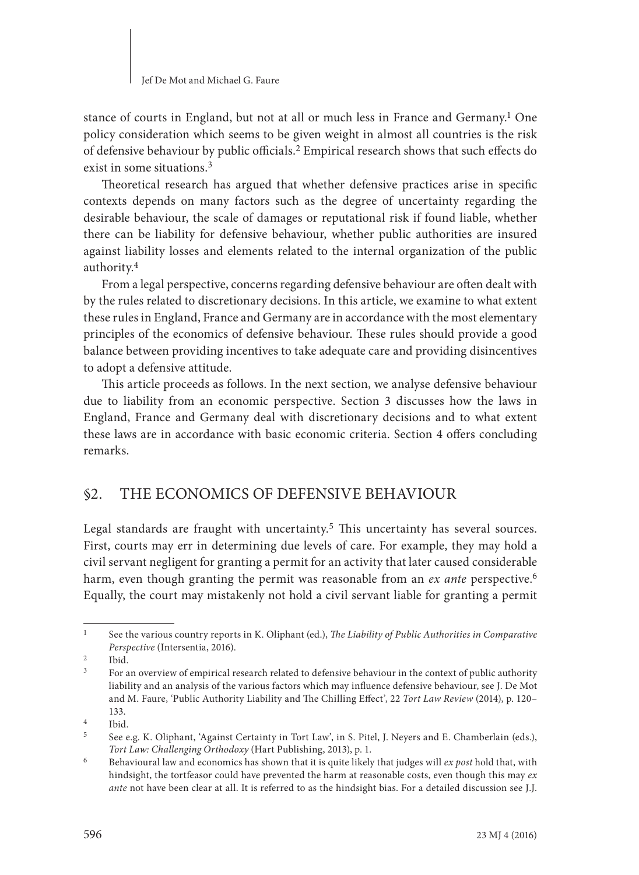stance of courts in England, but not at all or much less in France and Germany.1 One policy consideration which seems to be given weight in almost all countries is the risk of defensive behaviour by public officials.<sup>2</sup> Empirical research shows that such effects do exist in some situations.3

Theoretical research has argued that whether defensive practices arise in specific contexts depends on many factors such as the degree of uncertainty regarding the desirable behaviour, the scale of damages or reputational risk if found liable, whether there can be liability for defensive behaviour, whether public authorities are insured against liability losses and elements related to the internal organization of the public authority.4

From a legal perspective, concerns regarding defensive behaviour are often dealt with by the rules related to discretionary decisions. In this article, we examine to what extent these rules in England, France and Germany are in accordance with the most elementary principles of the economics of defensive behaviour. These rules should provide a good balance between providing incentives to take adequate care and providing disincentives to adopt a defensive attitude.

This article proceeds as follows. In the next section, we analyse defensive behaviour due to liability from an economic perspective. Section 3 discusses how the laws in England, France and Germany deal with discretionary decisions and to what extent these laws are in accordance with basic economic criteria. Section 4 offers concluding remarks.

# §2. THE ECONOMICS OF DEFENSIVE BEHAVIOUR

Legal standards are fraught with uncertainty.<sup>5</sup> This uncertainty has several sources. First, courts may err in determining due levels of care. For example, they may hold a civil servant negligent for granting a permit for an activity that later caused considerable harm, even though granting the permit was reasonable from an *ex ante* perspective.6 Equally, the court may mistakenly not hold a civil servant liable for granting a permit

<sup>&</sup>lt;sup>1</sup> See the various country reports in K. Oliphant (ed.), *The Liability of Public Authorities in Comparative Perspective* (Intersentia, 2016).

<sup>2</sup> Ibid.

<sup>&</sup>lt;sup>3</sup> For an overview of empirical research related to defensive behaviour in the context of public authority liability and an analysis of the various factors which may influence defensive behaviour, see J. De Mot and M. Faure, 'Public Authority Liability and The Chilling Effect', 22 Tort Law Review (2014), p. 120-133.

<sup>4</sup> Ibid.

<sup>5</sup> See e.g. K. Oliphant, 'Against Certainty in Tort Law', in S. Pitel, J. Neyers and E. Chamberlain (eds.), *Tort Law: Challenging Orthodoxy* (Hart Publishing, 2013), p. 1.

<sup>6</sup> Behavioural law and economics has shown that it is quite likely that judges will *ex post* hold that, with hindsight, the tortfeasor could have prevented the harm at reasonable costs, even though this may *ex ante* not have been clear at all. It is referred to as the hindsight bias. For a detailed discussion see J.J.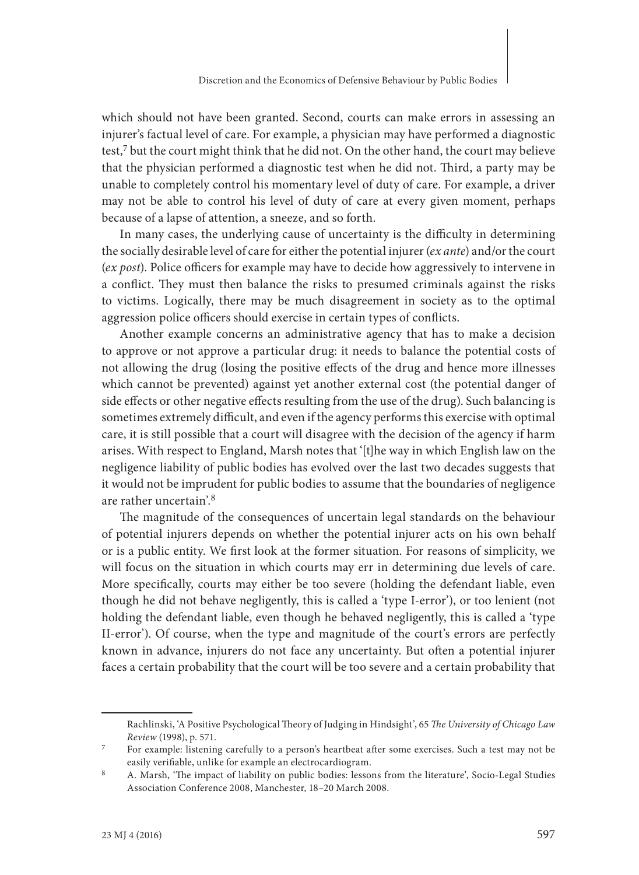which should not have been granted. Second, courts can make errors in assessing an injurer's factual level of care. For example, a physician may have performed a diagnostic test,7 but the court might think that he did not. On the other hand, the court may believe that the physician performed a diagnostic test when he did not. Third, a party may be unable to completely control his momentary level of duty of care. For example, a driver may not be able to control his level of duty of care at every given moment, perhaps because of a lapse of attention, a sneeze, and so forth.

In many cases, the underlying cause of uncertainty is the difficulty in determining the socially desirable level of care for either the potential injurer (*ex ante*) and/or the court (ex post). Police officers for example may have to decide how aggressively to intervene in a conflict. They must then balance the risks to presumed criminals against the risks to victims. Logically, there may be much disagreement in society as to the optimal aggression police officers should exercise in certain types of conflicts.

Another example concerns an administrative agency that has to make a decision to approve or not approve a particular drug: it needs to balance the potential costs of not allowing the drug (losing the positive effects of the drug and hence more illnesses which cannot be prevented) against yet another external cost (the potential danger of side effects or other negative effects resulting from the use of the drug). Such balancing is sometimes extremely difficult, and even if the agency performs this exercise with optimal care, it is still possible that a court will disagree with the decision of the agency if harm arises. With respect to England, Marsh notes that '[t]he way in which English law on the negligence liability of public bodies has evolved over the last two decades suggests that it would not be imprudent for public bodies to assume that the boundaries of negligence are rather uncertain'.8

The magnitude of the consequences of uncertain legal standards on the behaviour of potential injurers depends on whether the potential injurer acts on his own behalf or is a public entity. We first look at the former situation. For reasons of simplicity, we will focus on the situation in which courts may err in determining due levels of care. More specifically, courts may either be too severe (holding the defendant liable, even though he did not behave negligently, this is called a 'type I-error'), or too lenient (not holding the defendant liable, even though he behaved negligently, this is called a 'type II-error'). Of course, when the type and magnitude of the court's errors are perfectly known in advance, injurers do not face any uncertainty. But often a potential injurer faces a certain probability that the court will be too severe and a certain probability that

Rachlinski, 'A Positive Psychological Theory of Judging in Hindsight', 65 The University of Chicago Law *Review* (1998), p. 571.

<sup>&</sup>lt;sup>7</sup> For example: listening carefully to a person's heartbeat after some exercises. Such a test may not be easily verifiable, unlike for example an electrocardiogram.

<sup>8</sup> A. Marsh, 'The impact of liability on public bodies: lessons from the literature', Socio-Legal Studies Association Conference 2008, Manchester, 18–20 March 2008.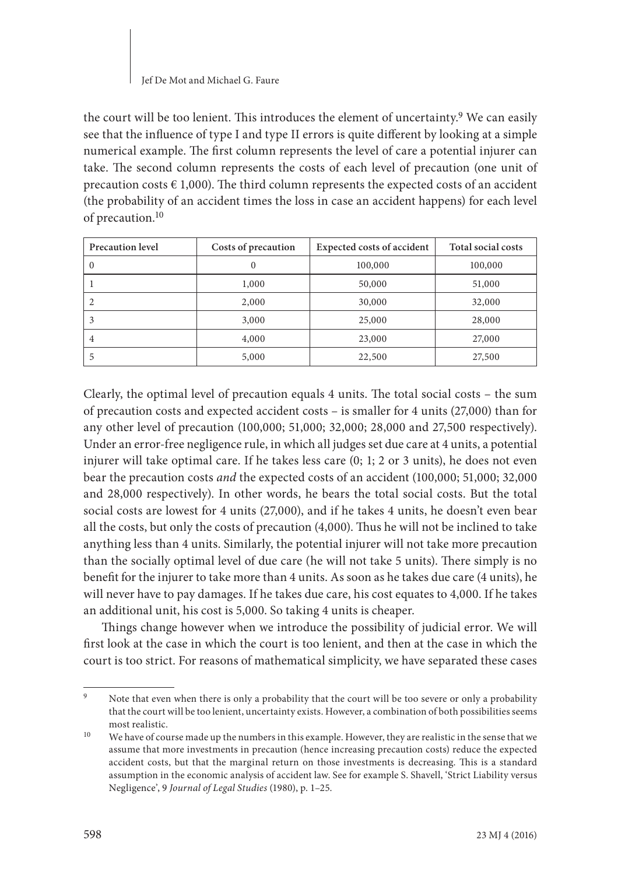the court will be too lenient. This introduces the element of uncertainty.<sup>9</sup> We can easily see that the influence of type I and type II errors is quite different by looking at a simple numerical example. The first column represents the level of care a potential injurer can take. The second column represents the costs of each level of precaution (one unit of precaution costs  $\epsilon$  1,000). The third column represents the expected costs of an accident (the probability of an accident times the loss in case an accident happens) for each level of precaution.10

| <b>Precaution level</b> | Costs of precaution | Expected costs of accident | <b>Total social costs</b> |
|-------------------------|---------------------|----------------------------|---------------------------|
| $\mathbf{0}$            | 0                   | 100,000                    | 100,000                   |
|                         | 1,000               | 50,000                     | 51,000                    |
| 2                       | 2,000               | 30,000                     | 32,000                    |
|                         | 3,000               | 25,000                     | 28,000                    |
| 4                       | 4,000               | 23,000                     | 27,000                    |
|                         | 5,000               | 22,500                     | 27,500                    |

Clearly, the optimal level of precaution equals 4 units. The total social costs – the sum of precaution costs and expected accident costs – is smaller for 4 units (27,000) than for any other level of precaution (100,000; 51,000; 32,000; 28,000 and 27,500 respectively). Under an error-free negligence rule, in which all judges set due care at 4 units, a potential injurer will take optimal care. If he takes less care (0; 1; 2 or 3 units), he does not even bear the precaution costs *and* the expected costs of an accident (100,000; 51,000; 32,000 and 28,000 respectively). In other words, he bears the total social costs. But the total social costs are lowest for 4 units (27,000), and if he takes 4 units, he doesn't even bear all the costs, but only the costs of precaution  $(4,000)$ . Thus he will not be inclined to take anything less than 4 units. Similarly, the potential injurer will not take more precaution than the socially optimal level of due care (he will not take 5 units). There simply is no benefit for the injurer to take more than 4 units. As soon as he takes due care (4 units), he will never have to pay damages. If he takes due care, his cost equates to 4,000. If he takes an additional unit, his cost is 5,000. So taking 4 units is cheaper.

Things change however when we introduce the possibility of judicial error. We will first look at the case in which the court is too lenient, and then at the case in which the court is too strict. For reasons of mathematical simplicity, we have separated these cases

<sup>&</sup>lt;sup>9</sup> Note that even when there is only a probability that the court will be too severe or only a probability that the court will be too lenient, uncertainty exists. However, a combination of both possibilities seems most realistic.

<sup>&</sup>lt;sup>10</sup> We have of course made up the numbers in this example. However, they are realistic in the sense that we assume that more investments in precaution (hence increasing precaution costs) reduce the expected accident costs, but that the marginal return on those investments is decreasing. This is a standard assumption in the economic analysis of accident law. See for example S. Shavell, 'Strict Liability versus Negligence', 9 *Journal of Legal Studies* (1980), p. 1–25.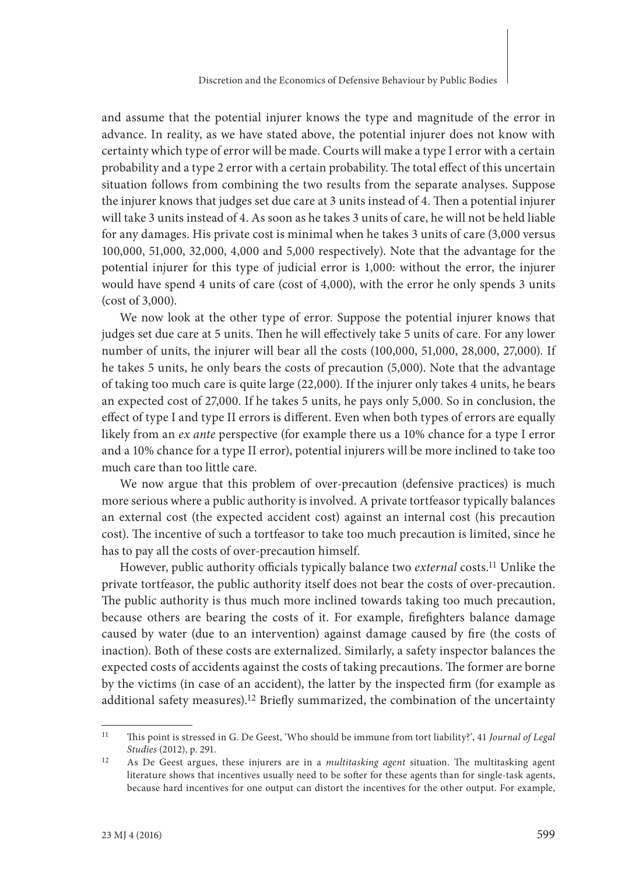and assume that the potential injurer knows the type and magnitude of the error in advance. In reality, as we have stated above, the potential injurer does not know with certainty which type of error will be made. Courts will make a type I error with a certain probability and a type 2 error with a certain probability. The total effect of this uncertain situation follows from combining the two results from the separate analyses. Suppose the injurer knows that judges set due care at 3 units instead of 4. Then a potential injurer will take 3 units instead of 4. As soon as he takes 3 units of care, he will not be held liable for any damages. His private cost is minimal when he takes 3 units of care (3,000 versus 100,000, 51,000, 32,000, 4,000 and 5,000 respectively). Note that the advantage for the potential injurer for this type of judicial error is 1,000: without the error, the injurer would have spend 4 units of care (cost of 4,000), with the error he only spends 3 units (cost of 3,000).

We now look at the other type of error. Suppose the potential injurer knows that judges set due care at 5 units. Then he will effectively take 5 units of care. For any lower number of units, the injurer will bear all the costs (100,000, 51,000, 28,000, 27,000). If he takes 5 units, he only bears the costs of precaution (5,000). Note that the advantage of taking too much care is quite large (22,000). If the injurer only takes 4 units, he bears an expected cost of 27,000. If he takes 5 units, he pays only 5,000. So in conclusion, the effect of type I and type II errors is different. Even when both types of errors are equally likely from an *ex ante* perspective (for example there us a 10% chance for a type I error and a 10% chance for a type II error), potential injurers will be more inclined to take too much care than too little care.

We now argue that this problem of over-precaution (defensive practices) is much more serious where a public authority is involved. A private tortfeasor typically balances an external cost (the expected accident cost) against an internal cost (his precaution cost). The incentive of such a tortfeasor to take too much precaution is limited, since he has to pay all the costs of over-precaution himself.

However, public authority officials typically balance two *external* costs.<sup>11</sup> Unlike the private tortfeasor, the public authority itself does not bear the costs of over-precaution. The public authority is thus much more inclined towards taking too much precaution, because others are bearing the costs of it. For example, firefighters balance damage caused by water (due to an intervention) against damage caused by fire (the costs of inaction). Both of these costs are externalized. Similarly, a safety inspector balances the expected costs of accidents against the costs of taking precautions. The former are borne by the victims (in case of an accident), the latter by the inspected firm (for example as additional safety measures).<sup>12</sup> Briefly summarized, the combination of the uncertainty

<sup>&</sup>lt;sup>11</sup> This point is stressed in G. De Geest, 'Who should be immune from tort liability?', 41 *Journal of Legal Studies* (2012), p. 291.

<sup>&</sup>lt;sup>12</sup> As De Geest argues, these injurers are in a *multitasking agent* situation. The multitasking agent literature shows that incentives usually need to be softer for these agents than for single-task agents, because hard incentives for one output can distort the incentives for the other output. For example,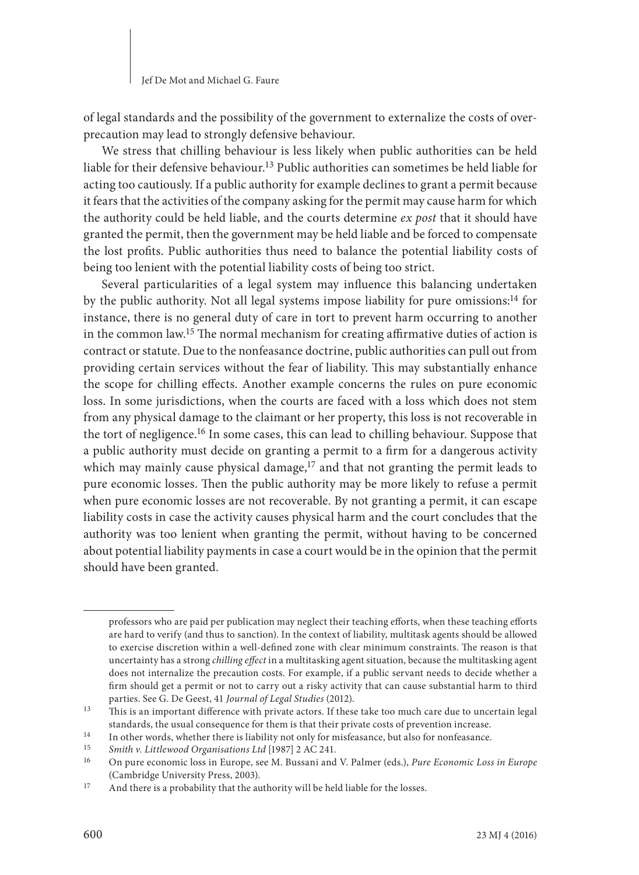of legal standards and the possibility of the government to externalize the costs of overprecaution may lead to strongly defensive behaviour.

We stress that chilling behaviour is less likely when public authorities can be held liable for their defensive behaviour.13 Public authorities can sometimes be held liable for acting too cautiously. If a public authority for example declines to grant a permit because it fears that the activities of the company asking for the permit may cause harm for which the authority could be held liable, and the courts determine *ex post* that it should have granted the permit, then the government may be held liable and be forced to compensate the lost profits. Public authorities thus need to balance the potential liability costs of being too lenient with the potential liability costs of being too strict.

Several particularities of a legal system may influence this balancing undertaken by the public authority. Not all legal systems impose liability for pure omissions:14 for instance, there is no general duty of care in tort to prevent harm occurring to another in the common law.<sup>15</sup> The normal mechanism for creating affirmative duties of action is contract or statute. Due to the nonfeasance doctrine, public authorities can pull out from providing certain services without the fear of liability. This may substantially enhance the scope for chilling effects. Another example concerns the rules on pure economic loss. In some jurisdictions, when the courts are faced with a loss which does not stem from any physical damage to the claimant or her property, this loss is not recoverable in the tort of negligence.16 In some cases, this can lead to chilling behaviour. Suppose that a public authority must decide on granting a permit to a firm for a dangerous activity which may mainly cause physical damage, $17$  and that not granting the permit leads to pure economic losses. Then the public authority may be more likely to refuse a permit when pure economic losses are not recoverable. By not granting a permit, it can escape liability costs in case the activity causes physical harm and the court concludes that the authority was too lenient when granting the permit, without having to be concerned about potential liability payments in case a court would be in the opinion that the permit should have been granted.

professors who are paid per publication may neglect their teaching efforts, when these teaching efforts are hard to verify (and thus to sanction). In the context of liability, multitask agents should be allowed to exercise discretion within a well-defined zone with clear minimum constraints. The reason is that uncertainty has a strong *chilling effect* in a multitasking agent situation, because the multitasking agent does not internalize the precaution costs. For example, if a public servant needs to decide whether a firm should get a permit or not to carry out a risky activity that can cause substantial harm to third parties. See G. De Geest, 41 *Journal of Legal Studies* (2012).

<sup>&</sup>lt;sup>13</sup> This is an important difference with private actors. If these take too much care due to uncertain legal standards, the usual consequence for them is that their private costs of prevention increase.

<sup>14</sup> In other words, whether there is liability not only for misfeasance, but also for nonfeasance.

<sup>15</sup>*Smith v. Littlewood Organisations Ltd* [1987] 2 AC 241.

<sup>16</sup> On pure economic loss in Europe, see M. Bussani and V. Palmer (eds.), *Pure Economic Loss in Europe* (Cambridge University Press, 2003).

<sup>&</sup>lt;sup>17</sup> And there is a probability that the authority will be held liable for the losses.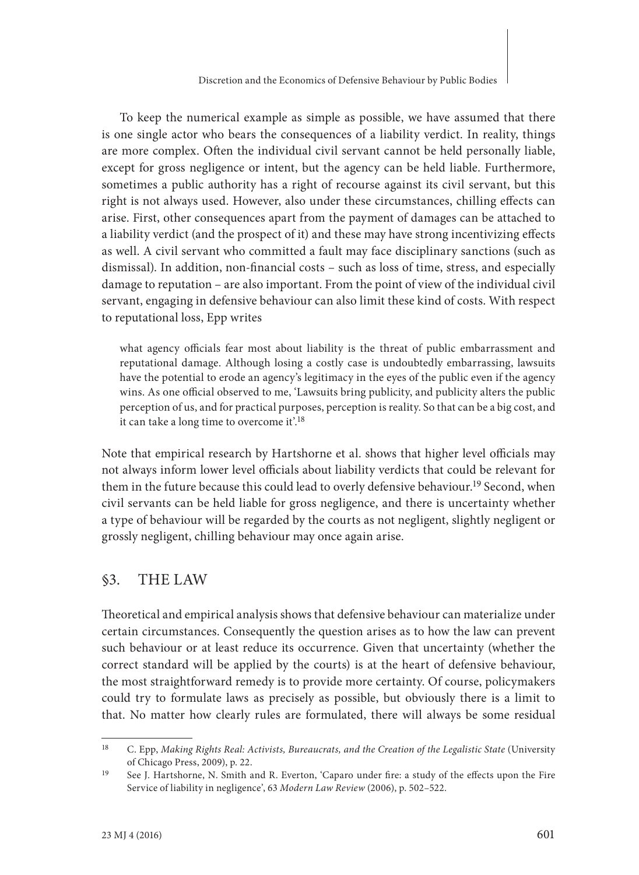To keep the numerical example as simple as possible, we have assumed that there is one single actor who bears the consequences of a liability verdict. In reality, things are more complex. Often the individual civil servant cannot be held personally liable, except for gross negligence or intent, but the agency can be held liable. Furthermore, sometimes a public authority has a right of recourse against its civil servant, but this right is not always used. However, also under these circumstances, chilling effects can arise. First, other consequences apart from the payment of damages can be attached to a liability verdict (and the prospect of it) and these may have strong incentivizing effects as well. A civil servant who committed a fault may face disciplinary sanctions (such as dismissal). In addition, non-financial costs - such as loss of time, stress, and especially damage to reputation – are also important. From the point of view of the individual civil servant, engaging in defensive behaviour can also limit these kind of costs. With respect to reputational loss, Epp writes

what agency officials fear most about liability is the threat of public embarrassment and reputational damage. Although losing a costly case is undoubtedly embarrassing, lawsuits have the potential to erode an agency's legitimacy in the eyes of the public even if the agency wins. As one official observed to me, 'Lawsuits bring publicity, and publicity alters the public perception of us, and for practical purposes, perception is reality. So that can be a big cost, and it can take a long time to overcome it'.18

Note that empirical research by Hartshorne et al. shows that higher level officials may not always inform lower level officials about liability verdicts that could be relevant for them in the future because this could lead to overly defensive behaviour.19 Second, when civil servants can be held liable for gross negligence, and there is uncertainty whether a type of behaviour will be regarded by the courts as not negligent, slightly negligent or grossly negligent, chilling behaviour may once again arise.

#### §3. THE LAW

Theoretical and empirical analysis shows that defensive behaviour can materialize under certain circumstances. Consequently the question arises as to how the law can prevent such behaviour or at least reduce its occurrence. Given that uncertainty (whether the correct standard will be applied by the courts) is at the heart of defensive behaviour, the most straightforward remedy is to provide more certainty. Of course, policymakers could try to formulate laws as precisely as possible, but obviously there is a limit to that. No matter how clearly rules are formulated, there will always be some residual

<sup>18</sup> C. Epp, *Making Rights Real: Activists, Bureaucrats, and the Creation of the Legalistic State* (University of Chicago Press, 2009), p. 22.

<sup>&</sup>lt;sup>19</sup> See J. Hartshorne, N. Smith and R. Everton, 'Caparo under fire: a study of the effects upon the Fire Service of liability in negligence', 63 *Modern Law Review* (2006), p. 502–522.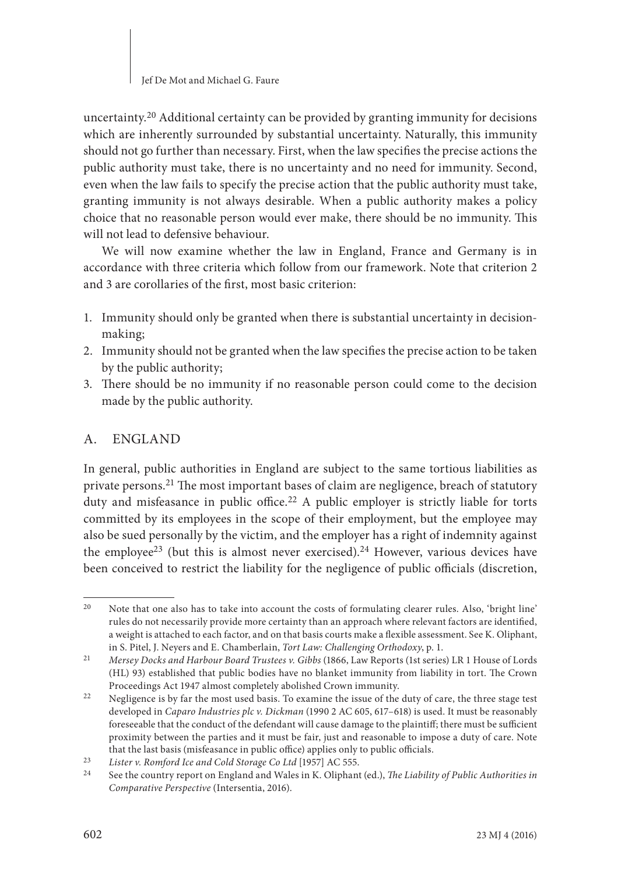uncertainty.20 Additional certainty can be provided by granting immunity for decisions which are inherently surrounded by substantial uncertainty. Naturally, this immunity should not go further than necessary. First, when the law specifies the precise actions the public authority must take, there is no uncertainty and no need for immunity. Second, even when the law fails to specify the precise action that the public authority must take, granting immunity is not always desirable. When a public authority makes a policy choice that no reasonable person would ever make, there should be no immunity. This will not lead to defensive behaviour.

We will now examine whether the law in England, France and Germany is in accordance with three criteria which follow from our framework. Note that criterion 2 and 3 are corollaries of the first, most basic criterion:

- 1. Immunity should only be granted when there is substantial uncertainty in decisionmaking;
- 2. Immunity should not be granted when the law specifies the precise action to be taken by the public authority;
- 3. There should be no immunity if no reasonable person could come to the decision made by the public authority.

### A. ENGLAND

In general, public authorities in England are subject to the same tortious liabilities as private persons.<sup>21</sup> The most important bases of claim are negligence, breach of statutory duty and misfeasance in public office.<sup>22</sup> A public employer is strictly liable for torts committed by its employees in the scope of their employment, but the employee may also be sued personally by the victim, and the employer has a right of indemnity against the employee<sup>23</sup> (but this is almost never exercised).<sup>24</sup> However, various devices have been conceived to restrict the liability for the negligence of public officials (discretion,

<sup>&</sup>lt;sup>20</sup> Note that one also has to take into account the costs of formulating clearer rules. Also, 'bright line' rules do not necessarily provide more certainty than an approach where relevant factors are identified, a weight is attached to each factor, and on that basis courts make a flexible assessment. See K. Oliphant, in S. Pitel, J. Neyers and E. Chamberlain, *Tort Law: Challenging Orthodoxy*, p. 1.

<sup>21</sup>*Mersey Docks and Harbour Board Trustees v. Gibbs* (1866, Law Reports (1st series) LR 1 House of Lords (HL) 93) established that public bodies have no blanket immunity from liability in tort. The Crown Proceedings Act 1947 almost completely abolished Crown immunity.

<sup>&</sup>lt;sup>22</sup> Negligence is by far the most used basis. To examine the issue of the duty of care, the three stage test developed in *Caparo Industries plc v. Dickman* (1990 2 AC 605, 617–618) is used. It must be reasonably foreseeable that the conduct of the defendant will cause damage to the plaintiff; there must be sufficient proximity between the parties and it must be fair, just and reasonable to impose a duty of care. Note that the last basis (misfeasance in public office) applies only to public officials.

<sup>23</sup> *Lister v. Romford Ice and Cold Storage Co Ltd* [1957] AC 555.<br>24 See the country report on England and Wales in K Olinband

See the country report on England and Wales in K. Oliphant (ed.), *The Liability of Public Authorities in Comparative Perspective* (Intersentia, 2016).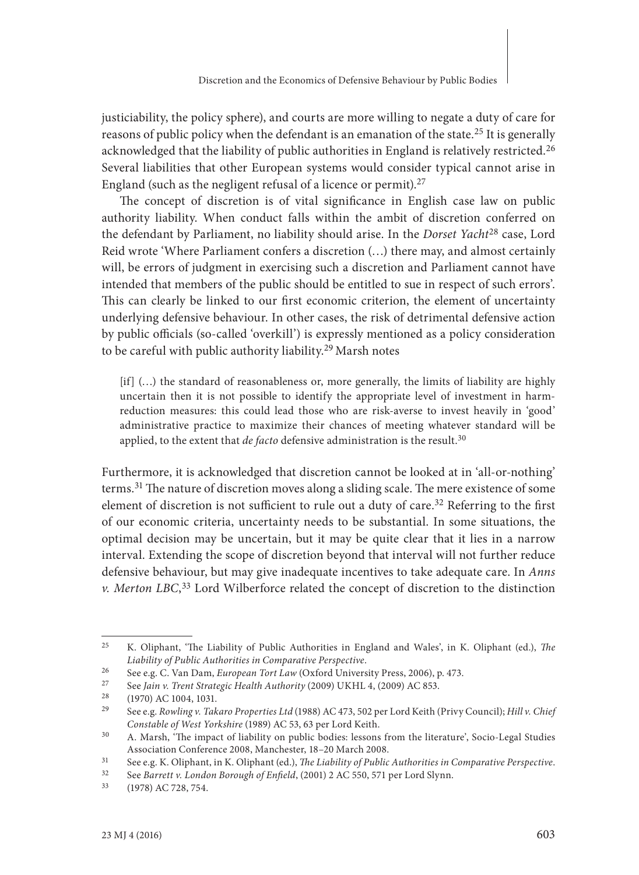justiciability, the policy sphere), and courts are more willing to negate a duty of care for reasons of public policy when the defendant is an emanation of the state.25 It is generally acknowledged that the liability of public authorities in England is relatively restricted.26 Several liabilities that other European systems would consider typical cannot arise in England (such as the negligent refusal of a licence or permit).27

The concept of discretion is of vital significance in English case law on public authority liability. When conduct falls within the ambit of discretion conferred on the defendant by Parliament, no liability should arise. In the *Dorset Yacht*28 case, Lord Reid wrote 'Where Parliament confers a discretion (…) there may, and almost certainly will, be errors of judgment in exercising such a discretion and Parliament cannot have intended that members of the public should be entitled to sue in respect of such errors'. This can clearly be linked to our first economic criterion, the element of uncertainty underlying defensive behaviour. In other cases, the risk of detrimental defensive action by public officials (so-called 'overkill') is expressly mentioned as a policy consideration to be careful with public authority liability.29 Marsh notes

[if] (…) the standard of reasonableness or, more generally, the limits of liability are highly uncertain then it is not possible to identify the appropriate level of investment in harmreduction measures: this could lead those who are risk-averse to invest heavily in 'good' administrative practice to maximize their chances of meeting whatever standard will be applied, to the extent that *de facto* defensive administration is the result.<sup>30</sup>

Furthermore, it is acknowledged that discretion cannot be looked at in 'all-or-nothing' terms.<sup>31</sup> The nature of discretion moves along a sliding scale. The mere existence of some element of discretion is not sufficient to rule out a duty of care.<sup>32</sup> Referring to the first of our economic criteria, uncertainty needs to be substantial. In some situations, the optimal decision may be uncertain, but it may be quite clear that it lies in a narrow interval. Extending the scope of discretion beyond that interval will not further reduce defensive behaviour, but may give inadequate incentives to take adequate care. In *Anns v. Merton LBC*, 33 Lord Wilberforce related the concept of discretion to the distinction

<sup>&</sup>lt;sup>25</sup> K. Oliphant, 'The Liability of Public Authorities in England and Wales', in K. Oliphant (ed.), *The Liability of Public Authorities in Comparative Perspective*.

<sup>26</sup> See e.g. C. Van Dam, *European Tort Law* (Oxford University Press, 2006), p. 473.

<sup>27</sup> See *Jain v. Trent Strategic Health Authority* (2009) UKHL 4, (2009) AC 853.

<sup>28 (1970)</sup> AC 1004, 1031.

<sup>29</sup> See e.g. *Rowling v. Takaro Properties Ltd* (1988) AC 473, 502 per Lord Keith (Privy Council); *Hill v. Chief Constable of West Yorkshire* (1989) AC 53, 63 per Lord Keith.

<sup>&</sup>lt;sup>30</sup> A. Marsh, 'The impact of liability on public bodies: lessons from the literature', Socio-Legal Studies Association Conference 2008, Manchester, 18–20 March 2008.

<sup>&</sup>lt;sup>31</sup> See e.g. K. Oliphant, in K. Oliphant (ed.), *The Liability of Public Authorities in Comparative Perspective.*<br><sup>32</sup> See Barrett y London Borough of Enfield (2001) 2 AC 550, 571 per Lord Slynn

<sup>&</sup>lt;sup>32</sup> See *Barrett v. London Borough of Enfield*, (2001) 2 AC 550, 571 per Lord Slynn.<br><sup>33</sup> (1978) AC 728, 754

<sup>33 (1978)</sup> AC 728, 754.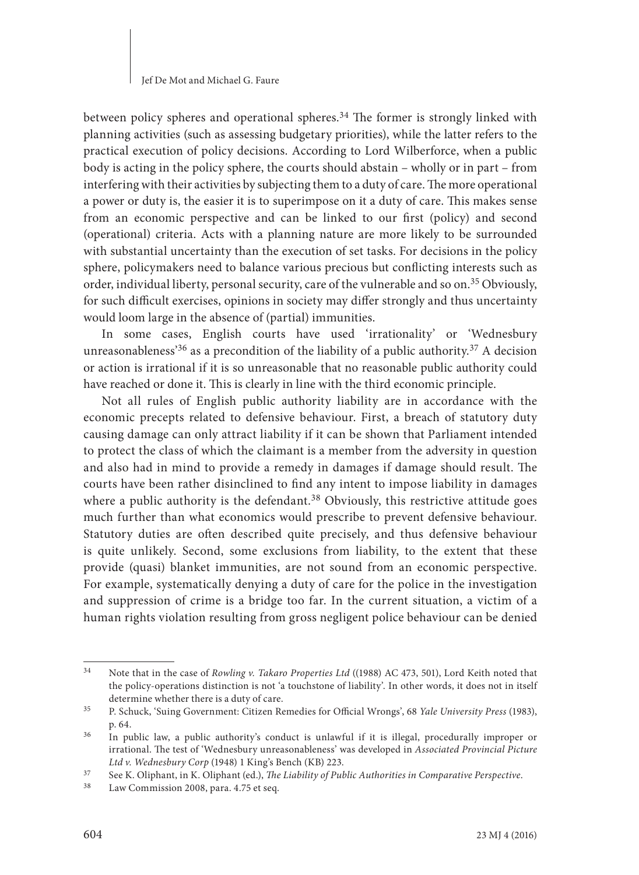between policy spheres and operational spheres.<sup>34</sup> The former is strongly linked with planning activities (such as assessing budgetary priorities), while the latter refers to the practical execution of policy decisions. According to Lord Wilberforce, when a public body is acting in the policy sphere, the courts should abstain – wholly or in part – from interfering with their activities by subjecting them to a duty of care. The more operational a power or duty is, the easier it is to superimpose on it a duty of care. This makes sense from an economic perspective and can be linked to our first (policy) and second (operational) criteria. Acts with a planning nature are more likely to be surrounded with substantial uncertainty than the execution of set tasks. For decisions in the policy sphere, policymakers need to balance various precious but conflicting interests such as order, individual liberty, personal security, care of the vulnerable and so on.<sup>35</sup> Obviously, for such difficult exercises, opinions in society may differ strongly and thus uncertainty would loom large in the absence of (partial) immunities.

In some cases, English courts have used 'irrationality' or 'Wednesbury unreasonableness<sup>36</sup> as a precondition of the liability of a public authority.<sup>37</sup> A decision or action is irrational if it is so unreasonable that no reasonable public authority could have reached or done it. This is clearly in line with the third economic principle.

Not all rules of English public authority liability are in accordance with the economic precepts related to defensive behaviour. First, a breach of statutory duty causing damage can only attract liability if it can be shown that Parliament intended to protect the class of which the claimant is a member from the adversity in question and also had in mind to provide a remedy in damages if damage should result. The courts have been rather disinclined to find any intent to impose liability in damages where a public authority is the defendant.<sup>38</sup> Obviously, this restrictive attitude goes much further than what economics would prescribe to prevent defensive behaviour. Statutory duties are often described quite precisely, and thus defensive behaviour is quite unlikely. Second, some exclusions from liability, to the extent that these provide (quasi) blanket immunities, are not sound from an economic perspective. For example, systematically denying a duty of care for the police in the investigation and suppression of crime is a bridge too far. In the current situation, a victim of a human rights violation resulting from gross negligent police behaviour can be denied

<sup>34</sup> Note that in the case of *Rowling v. Takaro Properties Ltd* ((1988) AC 473, 501), Lord Keith noted that the policy-operations distinction is not 'a touchstone of liability'. In other words, it does not in itself determine whether there is a duty of care.

<sup>35</sup> P. Schuck, 'Suing Government: Citizen Remedies for Official Wrongs', 68 *Yale University Press* (1983), p. 64.

<sup>36</sup> In public law, a public authority's conduct is unlawful if it is illegal, procedurally improper or irrational. The test of 'Wednesbury unreasonableness' was developed in *Associated Provincial Picture Ltd v. Wednesbury Corp* (1948) 1 King's Bench (KB) 223.

<sup>&</sup>lt;sup>37</sup> See K. Oliphant, in K. Oliphant (ed.), *The Liability of Public Authorities in Comparative Perspective.*<br><sup>38</sup> Law Commission 2008, para 4.75 et seq.

Law Commission 2008, para. 4.75 et seq.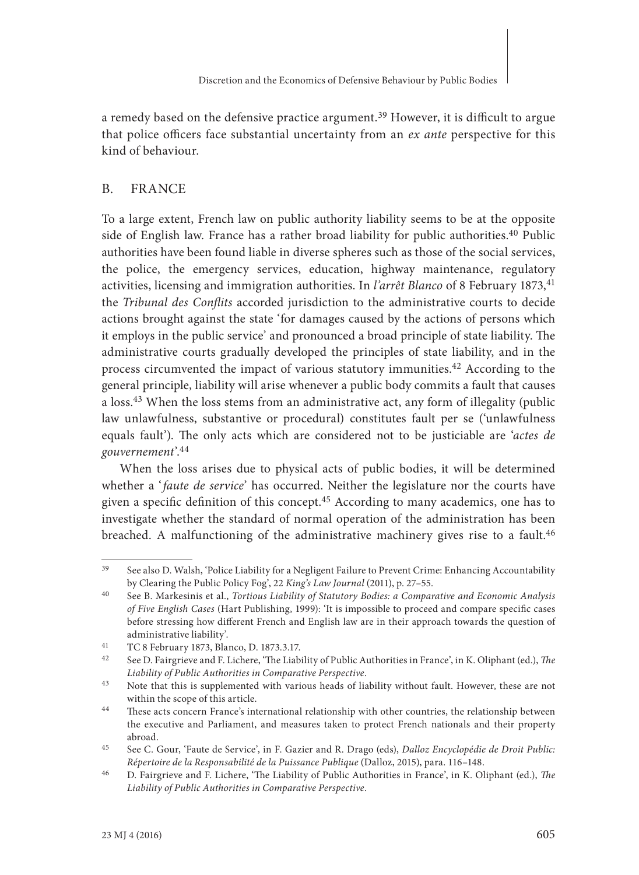a remedy based on the defensive practice argument.<sup>39</sup> However, it is difficult to argue that police officers face substantial uncertainty from an *ex ante* perspective for this kind of behaviour.

#### B. FRANCE

To a large extent, French law on public authority liability seems to be at the opposite side of English law. France has a rather broad liability for public authorities.<sup>40</sup> Public authorities have been found liable in diverse spheres such as those of the social services, the police, the emergency services, education, highway maintenance, regulatory activities, licensing and immigration authorities. In *l'arrêt Blanco* of 8 February 1873,<sup>41</sup> the *Tribunal des Conflits* accorded jurisdiction to the administrative courts to decide actions brought against the state 'for damages caused by the actions of persons which it employs in the public service' and pronounced a broad principle of state liability. The administrative courts gradually developed the principles of state liability, and in the process circumvented the impact of various statutory immunities.42 According to the general principle, liability will arise whenever a public body commits a fault that causes a loss.43 When the loss stems from an administrative act, any form of illegality (public law unlawfulness, substantive or procedural) constitutes fault per se ('unlawfulness equals fault'). The only acts which are considered not to be justiciable are '*actes de gouvernement*'.44

When the loss arises due to physical acts of public bodies, it will be determined whether a '*faute de service*' has occurred. Neither the legislature nor the courts have given a specific definition of this concept.<sup>45</sup> According to many academics, one has to investigate whether the standard of normal operation of the administration has been breached. A malfunctioning of the administrative machinery gives rise to a fault.<sup>46</sup>

<sup>39</sup> See also D. Walsh, 'Police Liability for a Negligent Failure to Prevent Crime: Enhancing Accountability by Clearing the Public Policy Fog', 22 *King's Law Journal* (2011), p. 27–55.

<sup>40</sup> See B. Markesinis et al., *Tortious Liability of Statutory Bodies: a Comparative and Economic Analysis*  of Five English Cases (Hart Publishing, 1999): 'It is impossible to proceed and compare specific cases before stressing how different French and English law are in their approach towards the question of administrative liability'.

<sup>41</sup> TC 8 February 1873, Blanco, D. 1873.3.17.

<sup>&</sup>lt;sup>42</sup> See D. Fairgrieve and F. Lichere, 'The Liability of Public Authorities in France', in K. Oliphant (ed.), *The Liability of Public Authorities in Comparative Perspective*.

<sup>&</sup>lt;sup>43</sup> Note that this is supplemented with various heads of liability without fault. However, these are not within the scope of this article.

<sup>44</sup> These acts concern France's international relationship with other countries, the relationship between the executive and Parliament, and measures taken to protect French nationals and their property abroad.

<sup>45</sup> See C. Gour, 'Faute de Service', in F. Gazier and R. Drago (eds), *Dalloz Encyclopédie de Droit Public: Répertoire de la Responsabilité de la Puissance Publique* (Dalloz, 2015), para. 116–148.

<sup>&</sup>lt;sup>46</sup> D. Fairgrieve and F. Lichere, 'The Liability of Public Authorities in France', in K. Oliphant (ed.), *The Liability of Public Authorities in Comparative Perspective*.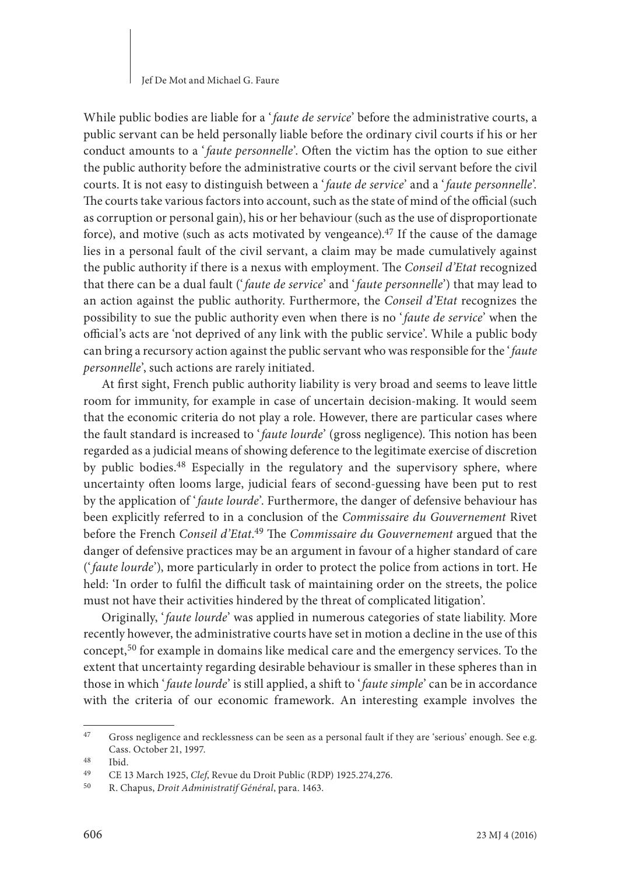While public bodies are liable for a '*faute de service*' before the administrative courts, a public servant can be held personally liable before the ordinary civil courts if his or her conduct amounts to a '*faute personnelle*'. Often the victim has the option to sue either the public authority before the administrative courts or the civil servant before the civil courts. It is not easy to distinguish between a '*faute de service*' and a '*faute personnelle*'*.*  The courts take various factors into account, such as the state of mind of the official (such as corruption or personal gain), his or her behaviour (such as the use of disproportionate force), and motive (such as acts motivated by vengeance).<sup>47</sup> If the cause of the damage lies in a personal fault of the civil servant, a claim may be made cumulatively against the public authority if there is a nexus with employment. The *Conseil d'Etat* recognized that there can be a dual fault ('*faute de service*' and '*faute personnelle*') that may lead to an action against the public authority. Furthermore, the *Conseil d'Etat* recognizes the possibility to sue the public authority even when there is no '*faute de service*' when the official's acts are 'not deprived of any link with the public service'. While a public body can bring a recursory action against the public servant who was responsible for the '*faute personnelle*', such actions are rarely initiated.

At first sight, French public authority liability is very broad and seems to leave little room for immunity, for example in case of uncertain decision-making. It would seem that the economic criteria do not play a role. However, there are particular cases where the fault standard is increased to '*faute lourde*' (gross negligence). This notion has been regarded as a judicial means of showing deference to the legitimate exercise of discretion by public bodies.48 Especially in the regulatory and the supervisory sphere, where uncertainty often looms large, judicial fears of second-guessing have been put to rest by the application of '*faute lourde*'. Furthermore, the danger of defensive behaviour has been explicitly referred to in a conclusion of the *Commissaire du Gouvernement* Rivet before the French Conseil d'Etat.<sup>49</sup> The Commissaire du Gouvernement argued that the danger of defensive practices may be an argument in favour of a higher standard of care ('*faute lourde*'), more particularly in order to protect the police from actions in tort. He held: 'In order to fulfil the difficult task of maintaining order on the streets, the police must not have their activities hindered by the threat of complicated litigation'.

Originally, '*faute lourde*' was applied in numerous categories of state liability. More recently however, the administrative courts have set in motion a decline in the use of this concept,50 for example in domains like medical care and the emergency services. To the extent that uncertainty regarding desirable behaviour is smaller in these spheres than in those in which '*faute lourde*' is still applied, a shift to '*faute simple*' can be in accordance with the criteria of our economic framework. An interesting example involves the

<sup>47</sup> Gross negligence and recklessness can be seen as a personal fault if they are 'serious' enough. See e.g. Cass. October 21, 1997.

 $\frac{48}{49}$  Ibid.

<sup>49</sup> CE 13 March 1925, *Clef*, Revue du Droit Public (RDP) 1925.274,276.

<sup>50</sup> R. Chapus, *Droit Administratif Général*, para. 1463.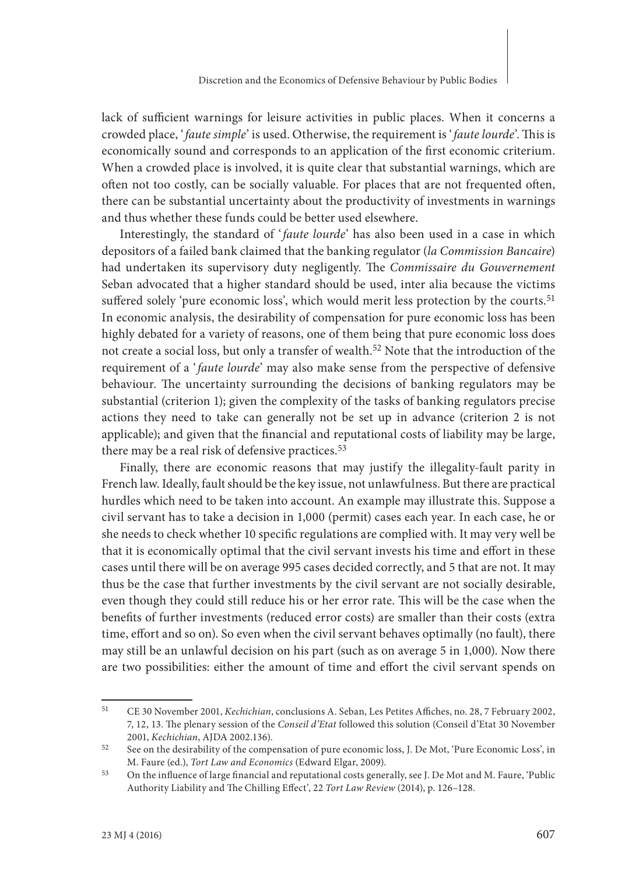lack of sufficient warnings for leisure activities in public places. When it concerns a crowded place, '*faute simple*' is used. Otherwise, the requirement is '*faute lourde*'. This is economically sound and corresponds to an application of the first economic criterium. When a crowded place is involved, it is quite clear that substantial warnings, which are often not too costly, can be socially valuable. For places that are not frequented often, there can be substantial uncertainty about the productivity of investments in warnings and thus whether these funds could be better used elsewhere.

Interestingly, the standard of '*faute lourde*' has also been used in a case in which depositors of a failed bank claimed that the banking regulator (*la Commission Bancaire*) had undertaken its supervisory duty negligently. The *Commissaire du Gouvernement* Seban advocated that a higher standard should be used, inter alia because the victims suffered solely 'pure economic loss', which would merit less protection by the courts.<sup>51</sup> In economic analysis, the desirability of compensation for pure economic loss has been highly debated for a variety of reasons, one of them being that pure economic loss does not create a social loss, but only a transfer of wealth.52 Note that the introduction of the requirement of a '*faute lourde*' may also make sense from the perspective of defensive behaviour. The uncertainty surrounding the decisions of banking regulators may be substantial (criterion 1); given the complexity of the tasks of banking regulators precise actions they need to take can generally not be set up in advance (criterion 2 is not applicable); and given that the financial and reputational costs of liability may be large, there may be a real risk of defensive practices.<sup>53</sup>

Finally, there are economic reasons that may justify the illegality-fault parity in French law. Ideally, fault should be the key issue, not unlawfulness. But there are practical hurdles which need to be taken into account. An example may illustrate this. Suppose a civil servant has to take a decision in 1,000 (permit) cases each year. In each case, he or she needs to check whether 10 specific regulations are complied with. It may very well be that it is economically optimal that the civil servant invests his time and effort in these cases until there will be on average 995 cases decided correctly, and 5 that are not. It may thus be the case that further investments by the civil servant are not socially desirable, even though they could still reduce his or her error rate. This will be the case when the benefits of further investments (reduced error costs) are smaller than their costs (extra time, effort and so on). So even when the civil servant behaves optimally (no fault), there may still be an unlawful decision on his part (such as on average 5 in 1,000). Now there are two possibilities: either the amount of time and effort the civil servant spends on

<sup>51</sup> CE 30 November 2001, *Kechichian*, conclusions A. Seban, Les Petites Affiches, no. 28, 7 February 2002, 7, 12, 13. Th e plenary session of the *Conseil d'Etat* followed this solution (Conseil d'Etat 30 November 2001, *Kechichian*, AJDA 2002.136).

<sup>52</sup> See on the desirability of the compensation of pure economic loss, J. De Mot, 'Pure Economic Loss', in M. Faure (ed.), *Tort Law and Economics* (Edward Elgar, 2009).

<sup>53</sup> On the influence of large financial and reputational costs generally, see J. De Mot and M. Faure, 'Public Authority Liability and The Chilling Effect', 22 Tort Law Review (2014), p. 126-128.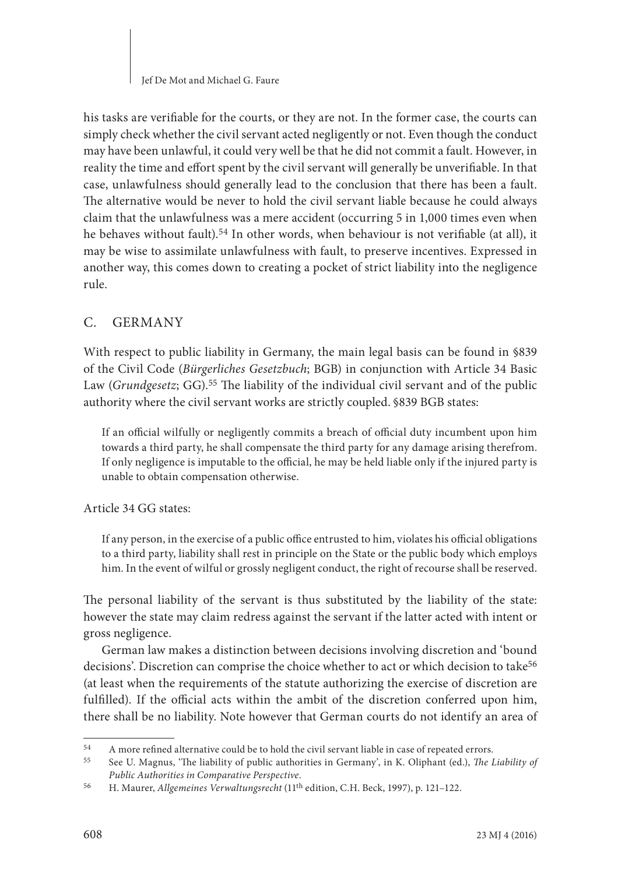his tasks are verifiable for the courts, or they are not. In the former case, the courts can simply check whether the civil servant acted negligently or not. Even though the conduct may have been unlawful, it could very well be that he did not commit a fault. However, in reality the time and effort spent by the civil servant will generally be unverifiable. In that case, unlawfulness should generally lead to the conclusion that there has been a fault. The alternative would be never to hold the civil servant liable because he could always claim that the unlawfulness was a mere accident (occurring 5 in 1,000 times even when he behaves without fault).<sup>54</sup> In other words, when behaviour is not verifiable (at all), it may be wise to assimilate unlawfulness with fault, to preserve incentives. Expressed in another way, this comes down to creating a pocket of strict liability into the negligence rule.

#### C. GERMANY

With respect to public liability in Germany, the main legal basis can be found in §839 of the Civil Code (*Bürgerliches Gesetzbuch*; BGB) in conjunction with Article 34 Basic Law (*Grundgesetz*; GG).<sup>55</sup> The liability of the individual civil servant and of the public authority where the civil servant works are strictly coupled. §839 BGB states:

If an official wilfully or negligently commits a breach of official duty incumbent upon him towards a third party, he shall compensate the third party for any damage arising therefrom. If only negligence is imputable to the official, he may be held liable only if the injured party is unable to obtain compensation otherwise.

Article 34 GG states:

If any person, in the exercise of a public office entrusted to him, violates his official obligations to a third party, liability shall rest in principle on the State or the public body which employs him. In the event of wilful or grossly negligent conduct, the right of recourse shall be reserved.

The personal liability of the servant is thus substituted by the liability of the state: however the state may claim redress against the servant if the latter acted with intent or gross negligence.

German law makes a distinction between decisions involving discretion and 'bound decisions'. Discretion can comprise the choice whether to act or which decision to take<sup>56</sup> (at least when the requirements of the statute authorizing the exercise of discretion are fulfilled). If the official acts within the ambit of the discretion conferred upon him, there shall be no liability. Note however that German courts do not identify an area of

<sup>54</sup> A more refined alternative could be to hold the civil servant liable in case of repeated errors.

<sup>55</sup> See U. Magnus, 'The liability of public authorities in Germany', in K. Oliphant (ed.), *The Liability of Public Authorities in Comparative Perspective*.

<sup>56</sup> H. Maurer, *Allgemeines Verwaltungsrecht* (11th edition, C.H. Beck, 1997), p. 121–122.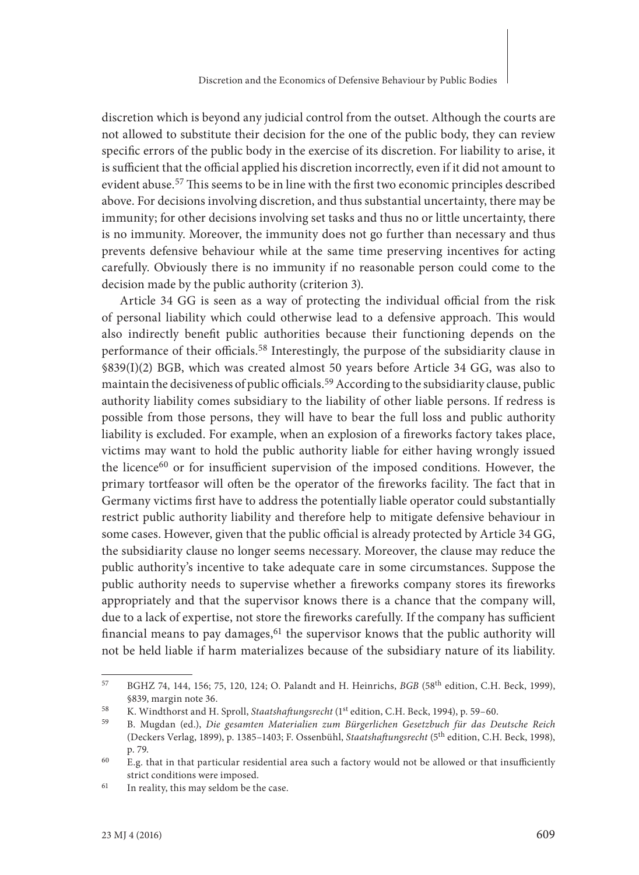discretion which is beyond any judicial control from the outset. Although the courts are not allowed to substitute their decision for the one of the public body, they can review specific errors of the public body in the exercise of its discretion. For liability to arise, it is sufficient that the official applied his discretion incorrectly, even if it did not amount to evident abuse.<sup>57</sup> This seems to be in line with the first two economic principles described above. For decisions involving discretion, and thus substantial uncertainty, there may be immunity; for other decisions involving set tasks and thus no or little uncertainty, there is no immunity. Moreover, the immunity does not go further than necessary and thus prevents defensive behaviour while at the same time preserving incentives for acting carefully. Obviously there is no immunity if no reasonable person could come to the decision made by the public authority (criterion 3).

Article 34 GG is seen as a way of protecting the individual official from the risk of personal liability which could otherwise lead to a defensive approach. This would also indirectly benefit public authorities because their functioning depends on the performance of their officials.<sup>58</sup> Interestingly, the purpose of the subsidiarity clause in §839(I)(2) BGB, which was created almost 50 years before Article 34 GG, was also to maintain the decisiveness of public officials.<sup>59</sup> According to the subsidiarity clause, public authority liability comes subsidiary to the liability of other liable persons. If redress is possible from those persons, they will have to bear the full loss and public authority liability is excluded. For example, when an explosion of a fireworks factory takes place, victims may want to hold the public authority liable for either having wrongly issued the licence<sup>60</sup> or for insufficient supervision of the imposed conditions. However, the primary tortfeasor will often be the operator of the fireworks facility. The fact that in Germany victims first have to address the potentially liable operator could substantially restrict public authority liability and therefore help to mitigate defensive behaviour in some cases. However, given that the public official is already protected by Article 34 GG, the subsidiarity clause no longer seems necessary. Moreover, the clause may reduce the public authority's incentive to take adequate care in some circumstances. Suppose the public authority needs to supervise whether a fireworks company stores its fireworks appropriately and that the supervisor knows there is a chance that the company will, due to a lack of expertise, not store the fireworks carefully. If the company has sufficient financial means to pay damages,  $61$  the supervisor knows that the public authority will not be held liable if harm materializes because of the subsidiary nature of its liability.

<sup>57</sup> BGHZ 74, 144, 156; 75, 120, 124; O. Palandt and H. Heinrichs, *BGB* (58th edition, C.H. Beck, 1999), §839, margin note 36.

<sup>58</sup> K. Windthorst and H. Sproll, *Staatshaft ungsrecht* (1st edition, C.H. Beck, 1994), p. 59–60.

<sup>59</sup> B. Mugdan (ed.), *Die gesamten Materialien zum Bürgerlichen Gesetzbuch für das Deutsche Reich* (Deckers Verlag, 1899), p. 1385–1403; F. Ossenbühl, *Staatshaft ungsrecht* (5th edition, C.H. Beck, 1998), p. 79.

 $60$  E.g. that in that particular residential area such a factory would not be allowed or that insufficiently strict conditions were imposed.

<sup>&</sup>lt;sup>61</sup> In reality, this may seldom be the case.